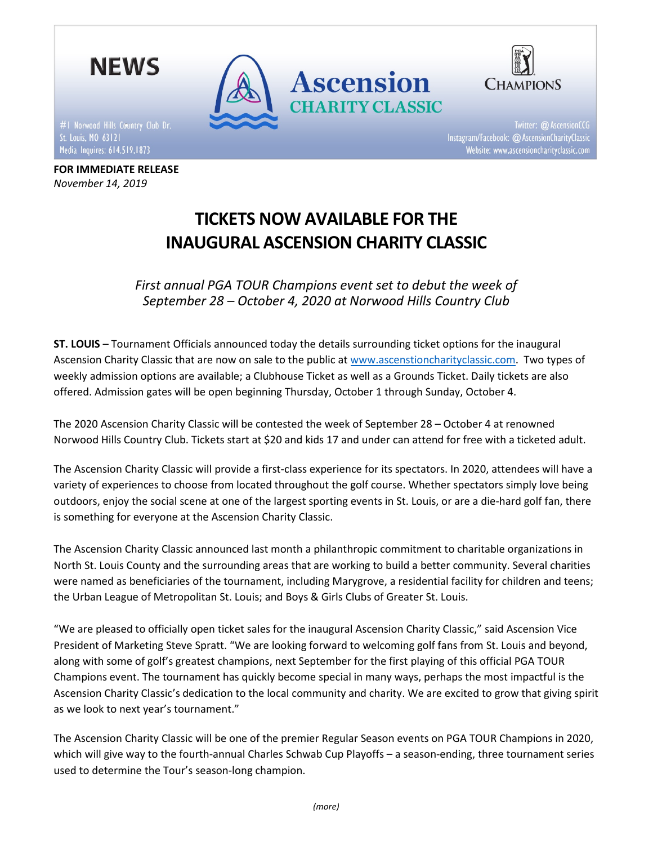

FOR IMMEDIATE RELEASE

November 14, 2019

Media Inquires: 614.519.1873



Twitter: @ AscensionCCG Instagram/Facebook: @ AscensionCharityClassic Website: www.ascensioncharityclassic.com

# TICKETS NOW AVAILABLE FOR THE INAUGURAL ASCENSION CHARITY CLASSIC

First annual PGA TOUR Champions event set to debut the week of September 28 – October 4, 2020 at Norwood Hills Country Club

ST. LOUIS – Tournament Officials announced today the details surrounding ticket options for the inaugural Ascension Charity Classic that are now on sale to the public at www.ascenstioncharityclassic.com. Two types of weekly admission options are available; a Clubhouse Ticket as well as a Grounds Ticket. Daily tickets are also offered. Admission gates will be open beginning Thursday, October 1 through Sunday, October 4.

The 2020 Ascension Charity Classic will be contested the week of September 28 – October 4 at renowned Norwood Hills Country Club. Tickets start at \$20 and kids 17 and under can attend for free with a ticketed adult.

The Ascension Charity Classic will provide a first-class experience for its spectators. In 2020, attendees will have a variety of experiences to choose from located throughout the golf course. Whether spectators simply love being outdoors, enjoy the social scene at one of the largest sporting events in St. Louis, or are a die-hard golf fan, there is something for everyone at the Ascension Charity Classic.

The Ascension Charity Classic announced last month a philanthropic commitment to charitable organizations in North St. Louis County and the surrounding areas that are working to build a better community. Several charities were named as beneficiaries of the tournament, including Marygrove, a residential facility for children and teens; the Urban League of Metropolitan St. Louis; and Boys & Girls Clubs of Greater St. Louis.

"We are pleased to officially open ticket sales for the inaugural Ascension Charity Classic," said Ascension Vice President of Marketing Steve Spratt. "We are looking forward to welcoming golf fans from St. Louis and beyond, along with some of golf's greatest champions, next September for the first playing of this official PGA TOUR Champions event. The tournament has quickly become special in many ways, perhaps the most impactful is the Ascension Charity Classic's dedication to the local community and charity. We are excited to grow that giving spirit as we look to next year's tournament."

The Ascension Charity Classic will be one of the premier Regular Season events on PGA TOUR Champions in 2020, which will give way to the fourth-annual Charles Schwab Cup Playoffs – a season-ending, three tournament series used to determine the Tour's season-long champion.